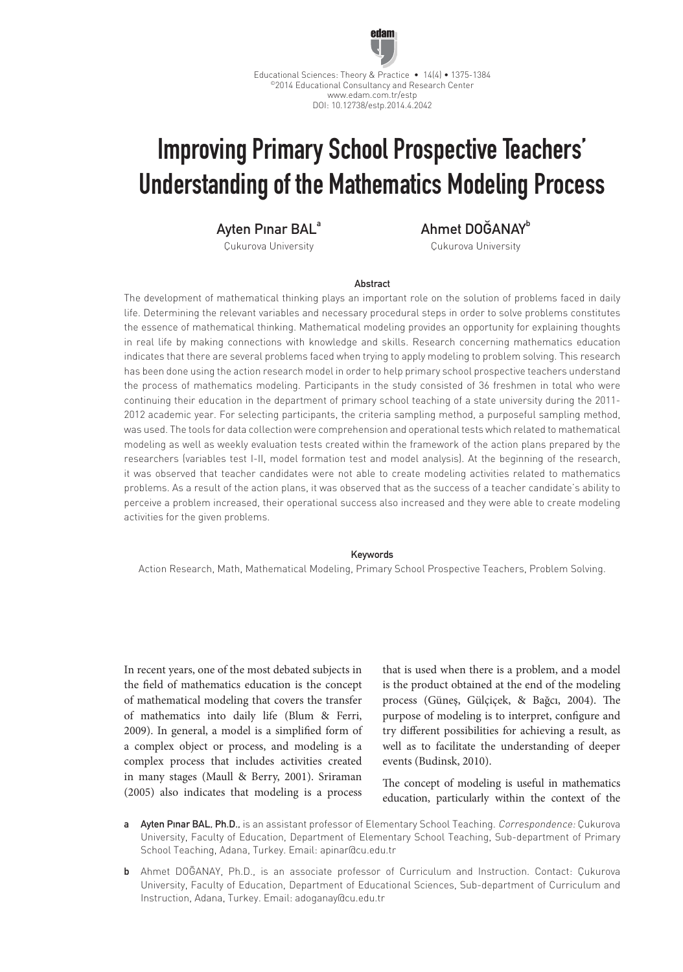

Educational Sciences: Theory & Practice • 14(4) • 1375-1384 ©2014 Educational Consultancy and Research Center www.edam.com.tr/estp DOI: 10.12738/estp.2014.4.2042

# Improving Primary School Prospective Teachers' Understanding of the Mathematics Modeling Process

Ayten Pınar BAL<sup>a</sup>

Çukurova University

Ahmet DOĞANAYb

Çukurova University

## Abstract

The development of mathematical thinking plays an important role on the solution of problems faced in daily life. Determining the relevant variables and necessary procedural steps in order to solve problems constitutes the essence of mathematical thinking. Mathematical modeling provides an opportunity for explaining thoughts in real life by making connections with knowledge and skills. Research concerning mathematics education indicates that there are several problems faced when trying to apply modeling to problem solving. This research has been done using the action research model in order to help primary school prospective teachers understand the process of mathematics modeling. Participants in the study consisted of 36 freshmen in total who were continuing their education in the department of primary school teaching of a state university during the 2011- 2012 academic year. For selecting participants, the criteria sampling method, a purposeful sampling method, was used. The tools for data collection were comprehension and operational tests which related to mathematical modeling as well as weekly evaluation tests created within the framework of the action plans prepared by the researchers (variables test I-II, model formation test and model analysis). At the beginning of the research, it was observed that teacher candidates were not able to create modeling activities related to mathematics problems. As a result of the action plans, it was observed that as the success of a teacher candidate's ability to perceive a problem increased, their operational success also increased and they were able to create modeling activities for the given problems.

#### Keywords

Action Research, Math, Mathematical Modeling, Primary School Prospective Teachers, Problem Solving.

In recent years, one of the most debated subjects in the field of mathematics education is the concept of mathematical modeling that covers the transfer of mathematics into daily life (Blum & Ferri, 2009). In general, a model is a simplified form of a complex object or process, and modeling is a complex process that includes activities created in many stages (Maull & Berry, 2001). Sriraman (2005) also indicates that modeling is a process that is used when there is a problem, and a model is the product obtained at the end of the modeling process (Güneş, Gülçiçek, & Bağcı, 2004). The purpose of modeling is to interpret, configure and try different possibilities for achieving a result, as well as to facilitate the understanding of deeper events (Budinsk, 2010).

The concept of modeling is useful in mathematics education, particularly within the context of the

- a Ayten Pinar BAL, Ph.D., is an assistant professor of Elementary School Teaching. Correspondence: Çukurova University, Faculty of Education, Department of Elementary School Teaching, Sub-department of Primary School Teaching, Adana, Turkey. Email: apinar@cu.edu.tr
- b Ahmet DOĞANAY, Ph.D., is an associate professor of Curriculum and Instruction. Contact: Çukurova University, Faculty of Education, Department of Educational Sciences, Sub-department of Curriculum and Instruction, Adana, Turkey. Email: adoganay@cu.edu.tr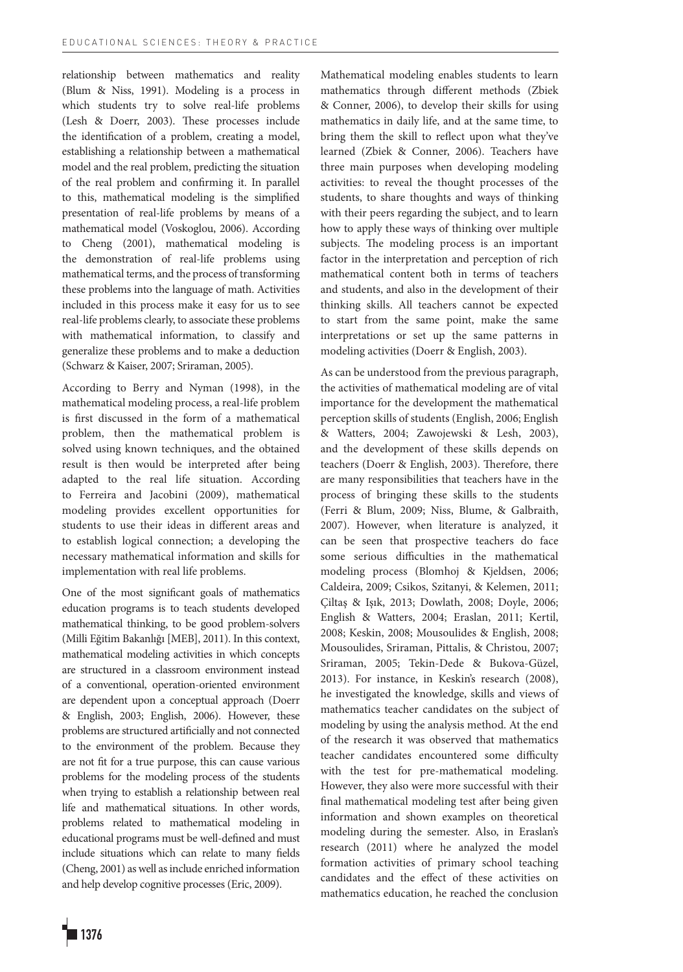relationship between mathematics and reality (Blum & Niss, 1991). Modeling is a process in which students try to solve real-life problems (Lesh & Doerr, 2003). These processes include the identification of a problem, creating a model, establishing a relationship between a mathematical model and the real problem, predicting the situation of the real problem and confirming it. In parallel to this, mathematical modeling is the simplified presentation of real-life problems by means of a mathematical model (Voskoglou, 2006). According to Cheng (2001), mathematical modeling is the demonstration of real-life problems using mathematical terms, and the process of transforming these problems into the language of math. Activities included in this process make it easy for us to see real-life problems clearly, to associate these problems with mathematical information, to classify and generalize these problems and to make a deduction (Schwarz & Kaiser, 2007; Sriraman, 2005).

According to Berry and Nyman (1998), in the mathematical modeling process, a real-life problem is first discussed in the form of a mathematical problem, then the mathematical problem is solved using known techniques, and the obtained result is then would be interpreted after being adapted to the real life situation. According to Ferreira and Jacobini (2009), mathematical modeling provides excellent opportunities for students to use their ideas in different areas and to establish logical connection; a developing the necessary mathematical information and skills for implementation with real life problems.

One of the most significant goals of mathematics education programs is to teach students developed mathematical thinking, to be good problem-solvers (Milli Eğitim Bakanlığı [MEB], 2011). In this context, mathematical modeling activities in which concepts are structured in a classroom environment instead of a conventional, operation-oriented environment are dependent upon a conceptual approach (Doerr & English, 2003; English, 2006). However, these problems are structured artificially and not connected to the environment of the problem. Because they are not fit for a true purpose, this can cause various problems for the modeling process of the students when trying to establish a relationship between real life and mathematical situations. In other words, problems related to mathematical modeling in educational programs must be well-defined and must include situations which can relate to many fields (Cheng, 2001) as well as include enriched information and help develop cognitive processes (Eric, 2009).

Mathematical modeling enables students to learn mathematics through different methods (Zbiek & Conner, 2006), to develop their skills for using mathematics in daily life, and at the same time, to bring them the skill to reflect upon what they've learned (Zbiek & Conner, 2006). Teachers have three main purposes when developing modeling activities: to reveal the thought processes of the students, to share thoughts and ways of thinking with their peers regarding the subject, and to learn how to apply these ways of thinking over multiple subjects. The modeling process is an important factor in the interpretation and perception of rich mathematical content both in terms of teachers and students, and also in the development of their thinking skills. All teachers cannot be expected to start from the same point, make the same interpretations or set up the same patterns in modeling activities (Doerr & English, 2003).

As can be understood from the previous paragraph, the activities of mathematical modeling are of vital importance for the development the mathematical perception skills of students (English, 2006; English & Watters, 2004; Zawojewski & Lesh, 2003), and the development of these skills depends on teachers (Doerr & English, 2003). Therefore, there are many responsibilities that teachers have in the process of bringing these skills to the students (Ferri & Blum, 2009; Niss, Blume, & Galbraith, 2007). However, when literature is analyzed, it can be seen that prospective teachers do face some serious difficulties in the mathematical modeling process (Blomhoj & Kjeldsen, 2006; Caldeira, 2009; Csikos, Szitanyi, & Kelemen, 2011; Çiltaş & Işık, 2013; Dowlath, 2008; Doyle, 2006; English & Watters, 2004; Eraslan, 2011; Kertil, 2008; Keskin, 2008; Mousoulides & English, 2008; Mousoulides, Sriraman, Pittalis, & Christou, 2007; Sriraman, 2005; Tekin-Dede & Bukova-Güzel, 2013). For instance, in Keskin's research (2008), he investigated the knowledge, skills and views of mathematics teacher candidates on the subject of modeling by using the analysis method. At the end of the research it was observed that mathematics teacher candidates encountered some difficulty with the test for pre-mathematical modeling. However, they also were more successful with their final mathematical modeling test after being given information and shown examples on theoretical modeling during the semester. Also, in Eraslan's research (2011) where he analyzed the model formation activities of primary school teaching candidates and the effect of these activities on mathematics education, he reached the conclusion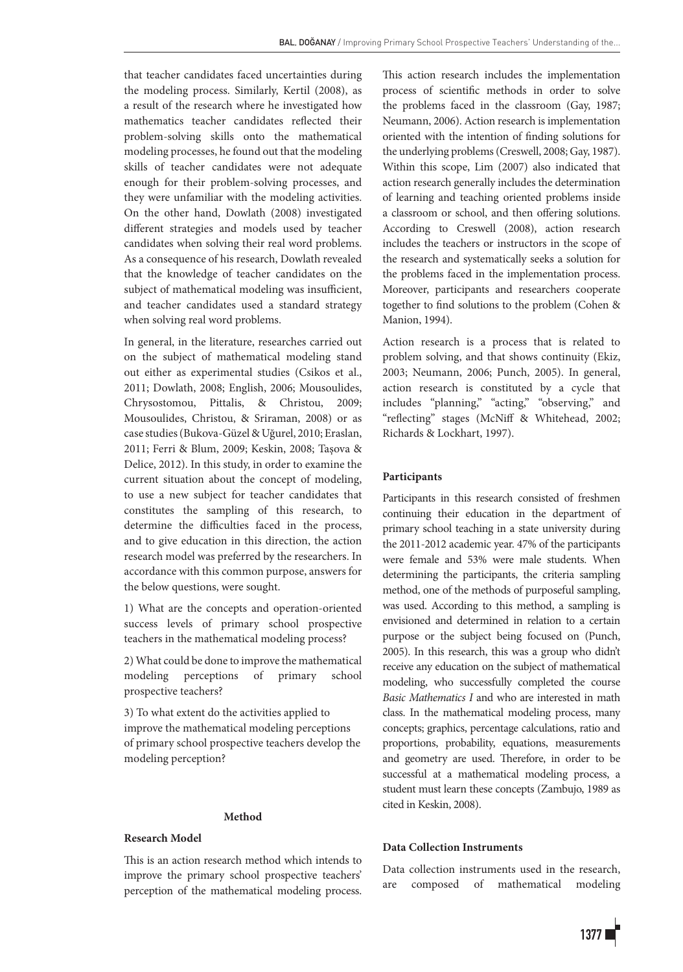that teacher candidates faced uncertainties during the modeling process. Similarly, Kertil (2008), as a result of the research where he investigated how mathematics teacher candidates reflected their problem-solving skills onto the mathematical modeling processes, he found out that the modeling skills of teacher candidates were not adequate enough for their problem-solving processes, and they were unfamiliar with the modeling activities. On the other hand, Dowlath (2008) investigated different strategies and models used by teacher candidates when solving their real word problems. As a consequence of his research, Dowlath revealed that the knowledge of teacher candidates on the subject of mathematical modeling was insufficient, and teacher candidates used a standard strategy when solving real word problems.

In general, in the literature, researches carried out on the subject of mathematical modeling stand out either as experimental studies (Csikos et al., 2011; Dowlath, 2008; English, 2006; Mousoulides, Chrysostomou, Pittalis, & Christou, 2009; Mousoulides, Christou, & Sriraman, 2008) or as case studies (Bukova-Güzel & Uğurel, 2010; Eraslan, 2011; Ferri & Blum, 2009; Keskin, 2008; Taşova & Delice, 2012). In this study, in order to examine the current situation about the concept of modeling, to use a new subject for teacher candidates that constitutes the sampling of this research, to determine the difficulties faced in the process, and to give education in this direction, the action research model was preferred by the researchers. In accordance with this common purpose, answers for the below questions, were sought.

1) What are the concepts and operation-oriented success levels of primary school prospective teachers in the mathematical modeling process?

2) What could be done to improve the mathematical modeling perceptions of primary school prospective teachers?

3) To what extent do the activities applied to improve the mathematical modeling perceptions of primary school prospective teachers develop the modeling perception?

## **Method**

## **Research Model**

This is an action research method which intends to improve the primary school prospective teachers' perception of the mathematical modeling process. This action research includes the implementation process of scientific methods in order to solve the problems faced in the classroom (Gay, 1987; Neumann, 2006). Action research is implementation oriented with the intention of finding solutions for the underlying problems (Creswell, 2008; Gay, 1987). Within this scope, Lim (2007) also indicated that action research generally includes the determination of learning and teaching oriented problems inside a classroom or school, and then offering solutions. According to Creswell (2008), action research includes the teachers or instructors in the scope of the research and systematically seeks a solution for the problems faced in the implementation process. Moreover, participants and researchers cooperate together to find solutions to the problem (Cohen & Manion, 1994).

Action research is a process that is related to problem solving, and that shows continuity (Ekiz, 2003; Neumann, 2006; Punch, 2005). In general, action research is constituted by a cycle that includes "planning," "acting," "observing," and "reflecting" stages (McNiff & Whitehead, 2002; Richards & Lockhart, 1997).

## **Participants**

Participants in this research consisted of freshmen continuing their education in the department of primary school teaching in a state university during the 2011-2012 academic year. 47% of the participants were female and 53% were male students. When determining the participants, the criteria sampling method, one of the methods of purposeful sampling, was used. According to this method, a sampling is envisioned and determined in relation to a certain purpose or the subject being focused on (Punch, 2005). In this research, this was a group who didn't receive any education on the subject of mathematical modeling, who successfully completed the course *Basic Mathematics I* and who are interested in math class. In the mathematical modeling process, many concepts; graphics, percentage calculations, ratio and proportions, probability, equations, measurements and geometry are used. Therefore, in order to be successful at a mathematical modeling process, a student must learn these concepts (Zambujo, 1989 as cited in Keskin, 2008).

## **Data Collection Instruments**

Data collection instruments used in the research, are composed of mathematical modeling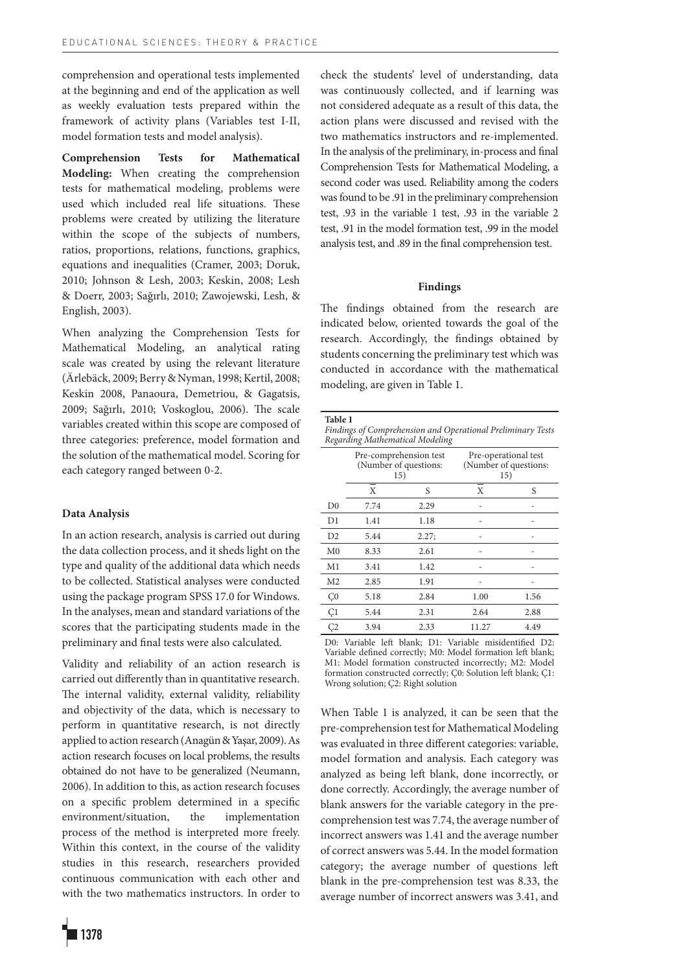comprehension and operational tests implemented at the beginning and end of the application as well as weekly evaluation tests prepared within the framework of activity plans (Variables test I-II, model formation tests and model analysis).

**Comprehension Tests for Mathematical Modeling:** When creating the comprehension tests for mathematical modeling, problems were used which included real life situations. These problems were created by utilizing the literature within the scope of the subjects of numbers, ratios, proportions, relations, functions, graphics, equations and inequalities (Cramer, 2003; Doruk, 2010; Johnson & Lesh, 2003; Keskin, 2008; Lesh & Doerr, 2003; Sağırlı, 2010; Zawojewski, Lesh, & English, 2003).

When analyzing the Comprehension Tests for Mathematical Modeling, an analytical rating scale was created by using the relevant literature (Ärlebäck, 2009; Berry & Nyman, 1998; Kertil, 2008; Keskin 2008, Panaoura, Demetriou, & Gagatsis, 2009; Sağırlı, 2010; Voskoglou, 2006). The scale variables created within this scope are composed of three categories: preference, model formation and the solution of the mathematical model. Scoring for each category ranged between 0-2.

## **Data Analysis**

In an action research, analysis is carried out during the data collection process, and it sheds light on the type and quality of the additional data which needs to be collected. Statistical analyses were conducted using the package program SPSS 17.0 for Windows. In the analyses, mean and standard variations of the scores that the participating students made in the preliminary and final tests were also calculated.

Validity and reliability of an action research is carried out differently than in quantitative research. The internal validity, external validity, reliability and objectivity of the data, which is necessary to perform in quantitative research, is not directly applied to action research (Anagün & Yaşar, 2009). As action research focuses on local problems, the results obtained do not have to be generalized (Neumann, 2006). In addition to this, as action research focuses on a specific problem determined in a specific environment/situation, the implementation process of the method is interpreted more freely. Within this context, in the course of the validity studies in this research, researchers provided continuous communication with each other and with the two mathematics instructors. In order to check the students' level of understanding, data was continuously collected, and if learning was not considered adequate as a result of this data, the action plans were discussed and revised with the two mathematics instructors and re-implemented. In the analysis of the preliminary, in-process and final Comprehension Tests for Mathematical Modeling, a second coder was used. Reliability among the coders was found to be .91 in the preliminary comprehension test, .93 in the variable 1 test, .93 in the variable 2 test, .91 in the model formation test, .99 in the model analysis test, and .89 in the final comprehension test.

## **Findings**

The findings obtained from the research are indicated below, oriented towards the goal of the research. Accordingly, the findings obtained by students concerning the preliminary test which was conducted in accordance with the mathematical modeling, are given in Table 1.

| Table 1<br>Findings of Comprehension and Operational Preliminary Tests<br>Regarding Mathematical Modeling |      |                                                        |                                                      |      |  |  |  |  |
|-----------------------------------------------------------------------------------------------------------|------|--------------------------------------------------------|------------------------------------------------------|------|--|--|--|--|
|                                                                                                           |      | Pre-comprehension test<br>(Number of questions:<br>15) | Pre-operational test<br>(Number of questions:<br>15) |      |  |  |  |  |
|                                                                                                           | X    | S                                                      | X                                                    | S    |  |  |  |  |
| D <sub>0</sub>                                                                                            | 7.74 | 2.29                                                   |                                                      |      |  |  |  |  |
| D1                                                                                                        | 1.41 | 1.18                                                   |                                                      |      |  |  |  |  |
| D <sub>2</sub>                                                                                            | 5.44 | 2.27;                                                  |                                                      |      |  |  |  |  |
| M <sub>0</sub>                                                                                            | 8.33 | 2.61                                                   |                                                      |      |  |  |  |  |
| M <sub>1</sub>                                                                                            | 3.41 | 1.42                                                   |                                                      |      |  |  |  |  |
| M <sub>2</sub>                                                                                            | 2.85 | 1.91                                                   |                                                      |      |  |  |  |  |
| C <sub>0</sub>                                                                                            | 5.18 | 2.84                                                   | 1.00                                                 | 1.56 |  |  |  |  |
| Ç1                                                                                                        | 5.44 | 2.31                                                   | 2.64                                                 | 2.88 |  |  |  |  |
| C <sub>2</sub>                                                                                            | 3.94 | 2.33                                                   | 11.27                                                | 4.49 |  |  |  |  |

D0: Variable left blank; D1: Variable misidentified D2: Variable defined correctly; M0: Model formation left blank; M1: Model formation constructed incorrectly; M2: Model formation constructed correctly; Ç0: Solution left blank; Ç1: Wrong solution; Ç2: Right solution

When Table 1 is analyzed, it can be seen that the pre-comprehension test for Mathematical Modeling was evaluated in three different categories: variable, model formation and analysis. Each category was analyzed as being left blank, done incorrectly, or done correctly. Accordingly, the average number of blank answers for the variable category in the precomprehension test was 7.74, the average number of incorrect answers was 1.41 and the average number of correct answers was 5.44. In the model formation category; the average number of questions left blank in the pre-comprehension test was 8.33, the average number of incorrect answers was 3.41, and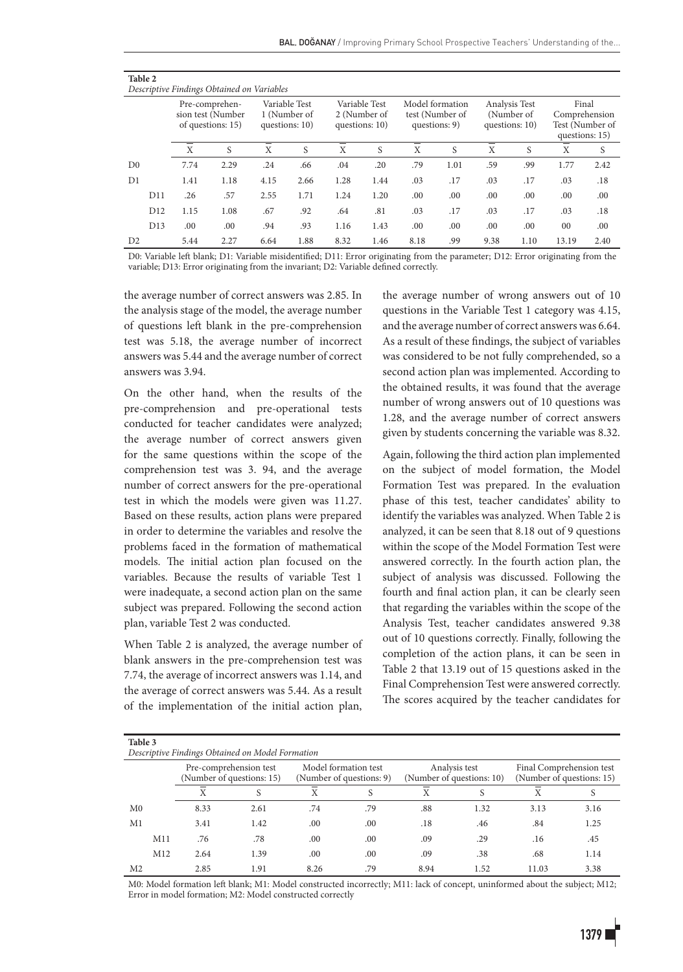| Table 2<br>Descriptive Findings Obtained on Variables |                 |                                                          |      |      |                                                 |                |                               |      |                                                     |      |                                               |                                          |                 |
|-------------------------------------------------------|-----------------|----------------------------------------------------------|------|------|-------------------------------------------------|----------------|-------------------------------|------|-----------------------------------------------------|------|-----------------------------------------------|------------------------------------------|-----------------|
|                                                       |                 | Pre-comprehen-<br>sion test (Number<br>of questions: 15) |      |      | Variable Test<br>1 (Number of<br>questions: 10) | questions: 10) | Variable Test<br>2 (Number of |      | Model formation<br>test (Number of<br>questions: 9) |      | Analysis Test<br>(Number of<br>questions: 10) | Final<br>Comprehension<br>questions: 15) | Test (Number of |
|                                                       |                 | X                                                        | S    | X    | S                                               | X              | S                             | X    | S                                                   | X    | S                                             | X                                        | S               |
| D <sub>0</sub>                                        |                 | 7.74                                                     | 2.29 | .24  | .66                                             | .04            | .20                           | .79  | 1.01                                                | .59  | .99                                           | 1.77                                     | 2.42            |
| D1                                                    |                 | 1.41                                                     | 1.18 | 4.15 | 2.66                                            | 1.28           | 1.44                          | .03  | .17                                                 | .03  | .17                                           | .03                                      | .18             |
|                                                       | D11             | .26                                                      | .57  | 2.55 | 1.71                                            | 1.24           | 1.20                          | .00  | .00                                                 | .00  | .00 <sub>1</sub>                              | .00                                      | .00             |
|                                                       | D <sub>12</sub> | 1.15                                                     | 1.08 | .67  | .92                                             | .64            | .81                           | .03  | .17                                                 | .03  | .17                                           | .03                                      | .18             |
|                                                       | D <sub>13</sub> | .00.                                                     | .00  | .94  | .93                                             | 1.16           | 1.43                          | .00  | .00                                                 | .00  | .00                                           | $00\,$                                   | .00             |
| D <sub>2</sub>                                        |                 | 5.44                                                     | 2.27 | 6.64 | 1.88                                            | 8.32           | 1.46                          | 8.18 | .99                                                 | 9.38 | 1.10                                          | 13.19                                    | 2.40            |

D0: Variable left blank; D1: Variable misidentified; D11: Error originating from the parameter; D12: Error originating from the variable; D13: Error originating from the invariant; D2: Variable defined correctly.

the average number of correct answers was 2.85. In the analysis stage of the model, the average number of questions left blank in the pre-comprehension test was 5.18, the average number of incorrect answers was 5.44 and the average number of correct answers was 3.94.

On the other hand, when the results of the pre-comprehension and pre-operational tests conducted for teacher candidates were analyzed; the average number of correct answers given for the same questions within the scope of the comprehension test was 3. 94, and the average number of correct answers for the pre-operational test in which the models were given was 11.27. Based on these results, action plans were prepared in order to determine the variables and resolve the problems faced in the formation of mathematical models. The initial action plan focused on the variables. Because the results of variable Test 1 were inadequate, a second action plan on the same subject was prepared. Following the second action plan, variable Test 2 was conducted.

When Table 2 is analyzed, the average number of blank answers in the pre-comprehension test was 7.74, the average of incorrect answers was 1.14, and the average of correct answers was 5.44. As a result of the implementation of the initial action plan, the average number of wrong answers out of 10 questions in the Variable Test 1 category was 4.15, and the average number of correct answers was 6.64. As a result of these findings, the subject of variables was considered to be not fully comprehended, so a second action plan was implemented. According to the obtained results, it was found that the average number of wrong answers out of 10 questions was 1.28, and the average number of correct answers given by students concerning the variable was 8.32.

Again, following the third action plan implemented on the subject of model formation, the Model Formation Test was prepared. In the evaluation phase of this test, teacher candidates' ability to identify the variables was analyzed. When Table 2 is analyzed, it can be seen that 8.18 out of 9 questions within the scope of the Model Formation Test were answered correctly. In the fourth action plan, the subject of analysis was discussed. Following the fourth and final action plan, it can be clearly seen that regarding the variables within the scope of the Analysis Test, teacher candidates answered 9.38 out of 10 questions correctly. Finally, following the completion of the action plans, it can be seen in Table 2 that 13.19 out of 15 questions asked in the Final Comprehension Test were answered correctly. The scores acquired by the teacher candidates for

| Table 3<br>Descriptive Findings Obtained on Model Formation |     |                                                     |      |                                                  |     |                                            |      |                                                       |      |  |
|-------------------------------------------------------------|-----|-----------------------------------------------------|------|--------------------------------------------------|-----|--------------------------------------------|------|-------------------------------------------------------|------|--|
|                                                             |     | Pre-comprehension test<br>(Number of questions: 15) |      | Model formation test<br>(Number of questions: 9) |     | Analysis test<br>(Number of questions: 10) |      | Final Comprehension test<br>(Number of questions: 15) |      |  |
|                                                             |     |                                                     |      | Χ                                                |     | X                                          |      | Χ                                                     | S    |  |
| M <sub>0</sub>                                              |     | 8.33                                                | 2.61 | .74                                              | .79 | .88                                        | 1.32 | 3.13                                                  | 3.16 |  |
| M1                                                          |     | 3.41                                                | 1.42 | .00                                              | .00 | .18                                        | .46  | .84                                                   | 1.25 |  |
|                                                             | M11 | .76                                                 | .78  | .00                                              | .00 | .09                                        | .29  | .16                                                   | .45  |  |
|                                                             | M12 | 2.64                                                | 1.39 | .00                                              | .00 | .09                                        | .38  | .68                                                   | 1.14 |  |
| M <sub>2</sub>                                              |     | 2.85                                                | 1.91 | 8.26                                             | .79 | 8.94                                       | 1.52 | 11.03                                                 | 3.38 |  |

M0: Model formation left blank; M1: Model constructed incorrectly; M11: lack of concept, uninformed about the subject; M12; Error in model formation; M2: Model constructed correctly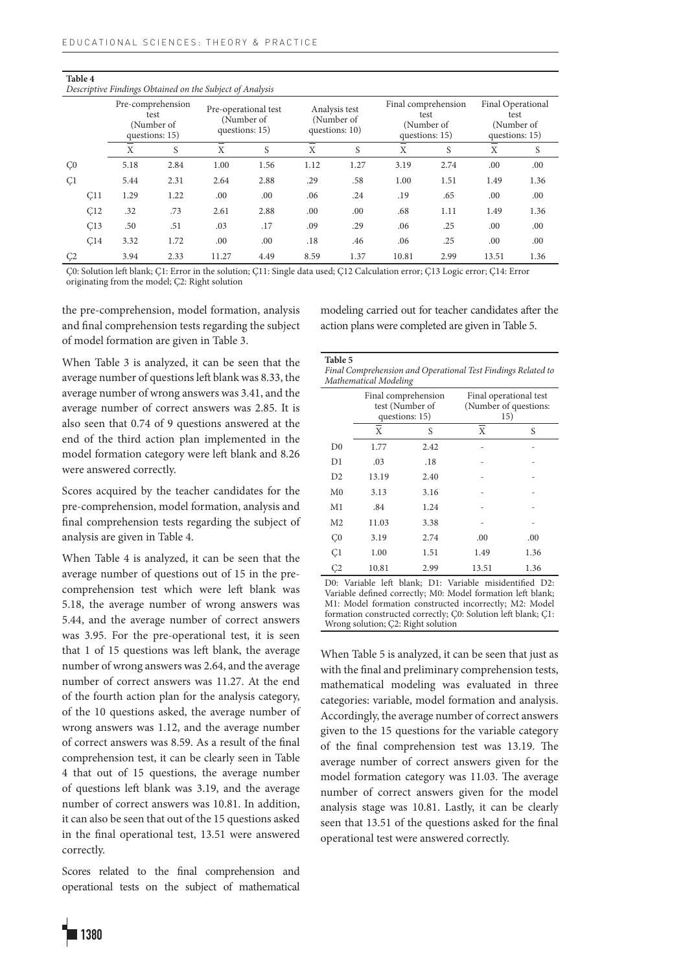**Table 4**

|                | Descriptive Findings Obtained on the Subject of Analysis |                                                           |      |                                        |            |      |                                               |                |                                           |                                             |            |
|----------------|----------------------------------------------------------|-----------------------------------------------------------|------|----------------------------------------|------------|------|-----------------------------------------------|----------------|-------------------------------------------|---------------------------------------------|------------|
|                |                                                          | Pre-comprehension<br>test<br>(Number of<br>questions: 15) |      | Pre-operational test<br>questions: 15) | (Number of |      | Analysis test<br>(Number of<br>questions: 10) | questions: 15) | Final comprehension<br>test<br>(Number of | Final Operational<br>test<br>questions: 15) | (Number of |
|                |                                                          | X                                                         | S    | X                                      | S          | X    | S                                             | X              | S                                         | X                                           | S          |
| C <sub>0</sub> |                                                          | 5.18                                                      | 2.84 | 1.00                                   | 1.56       | 1.12 | 1.27                                          | 3.19           | 2.74                                      | .00                                         | .00        |
| C <sub>1</sub> |                                                          | 5.44                                                      | 2.31 | 2.64                                   | 2.88       | .29  | .58                                           | 1.00           | 1.51                                      | 1.49                                        | 1.36       |
|                | C11                                                      | 1.29                                                      | 1.22 | .00                                    | .00        | .06  | .24                                           | .19            | .65                                       | .00                                         | .00        |
|                | C12                                                      | .32                                                       | .73  | 2.61                                   | 2.88       | .00  | .00                                           | .68            | 1.11                                      | 1.49                                        | 1.36       |
|                | C13                                                      | .50                                                       | .51  | .03                                    | .17        | .09  | .29                                           | .06            | .25                                       | .00                                         | .00        |
|                | C14                                                      | 3.32                                                      | 1.72 | .00                                    | .00        | .18  | .46                                           | .06            | .25                                       | .00                                         | .00        |
| C <sub>2</sub> |                                                          | 3.94                                                      | 2.33 | 11.27                                  | 4.49       | 8.59 | 1.37                                          | 10.81          | 2.99                                      | 13.51                                       | 1.36       |

Ç0: Solution left blank; Ç1: Error in the solution; Ç11: Single data used; Ç12 Calculation error; Ç13 Logic error; Ç14: Error originating from the model; Ç2: Right solution

the pre-comprehension, model formation, analysis and final comprehension tests regarding the subject of model formation are given in Table 3.

modeling carried out for teacher candidates after the action plans were completed are given in Table 5.

When Table 3 is analyzed, it can be seen that the average number of questions left blank was 8.33, the average number of wrong answers was 3.41, and the average number of correct answers was 2.85. It is also seen that 0.74 of 9 questions answered at the end of the third action plan implemented in the model formation category were left blank and 8.26 were answered correctly.

Scores acquired by the teacher candidates for the pre-comprehension, model formation, analysis and final comprehension tests regarding the subject of analysis are given in Table 4.

When Table 4 is analyzed, it can be seen that the average number of questions out of 15 in the precomprehension test which were left blank was 5.18, the average number of wrong answers was 5.44, and the average number of correct answers was 3.95. For the pre-operational test, it is seen that 1 of 15 questions was left blank, the average number of wrong answers was 2.64, and the average number of correct answers was 11.27. At the end of the fourth action plan for the analysis category, of the 10 questions asked, the average number of wrong answers was 1.12, and the average number of correct answers was 8.59. As a result of the final comprehension test, it can be clearly seen in Table 4 that out of 15 questions, the average number of questions left blank was 3.19, and the average number of correct answers was 10.81. In addition, it can also be seen that out of the 15 questions asked in the final operational test, 13.51 were answered correctly.

Scores related to the final comprehension and operational tests on the subject of mathematical **Table 5**

*Final Comprehension and Operational Test Findings Related to Mathematical Modeling* 

|                | Final comprehension<br>test (Number of<br>questions: 15) |      | Final operational test<br>(Number of questions:<br>15) |      |  |
|----------------|----------------------------------------------------------|------|--------------------------------------------------------|------|--|
|                | X<br>S                                                   |      | X                                                      | S    |  |
| D <sub>0</sub> | 1.77                                                     | 2.42 |                                                        |      |  |
| D1             | .03                                                      | .18  |                                                        |      |  |
| D2             | 13.19                                                    | 2.40 |                                                        |      |  |
| M <sub>0</sub> | 3.13                                                     | 3.16 |                                                        |      |  |
| M <sub>1</sub> | .84                                                      | 1.24 |                                                        |      |  |
| M <sub>2</sub> | 11.03                                                    | 3.38 |                                                        |      |  |
| C <sub>0</sub> | 3.19                                                     | 2.74 | .00                                                    | .00  |  |
| C <sub>1</sub> | 1.00                                                     | 1.51 | 1.49                                                   | 1.36 |  |
| Ç2             | 10.81                                                    | 2.99 | 13.51                                                  | 1.36 |  |

D0: Variable left blank; D1: Variable misidentified D2: Variable defined correctly; M0: Model formation left blank; M1: Model formation constructed incorrectly; M2: Model formation constructed correctly; Ç0: Solution left blank; Ç1: Wrong solution; Ç2: Right solution

When Table 5 is analyzed, it can be seen that just as with the final and preliminary comprehension tests, mathematical modeling was evaluated in three categories: variable, model formation and analysis. Accordingly, the average number of correct answers given to the 15 questions for the variable category of the final comprehension test was 13.19. The average number of correct answers given for the model formation category was 11.03. The average number of correct answers given for the model analysis stage was 10.81. Lastly, it can be clearly seen that 13.51 of the questions asked for the final operational test were answered correctly.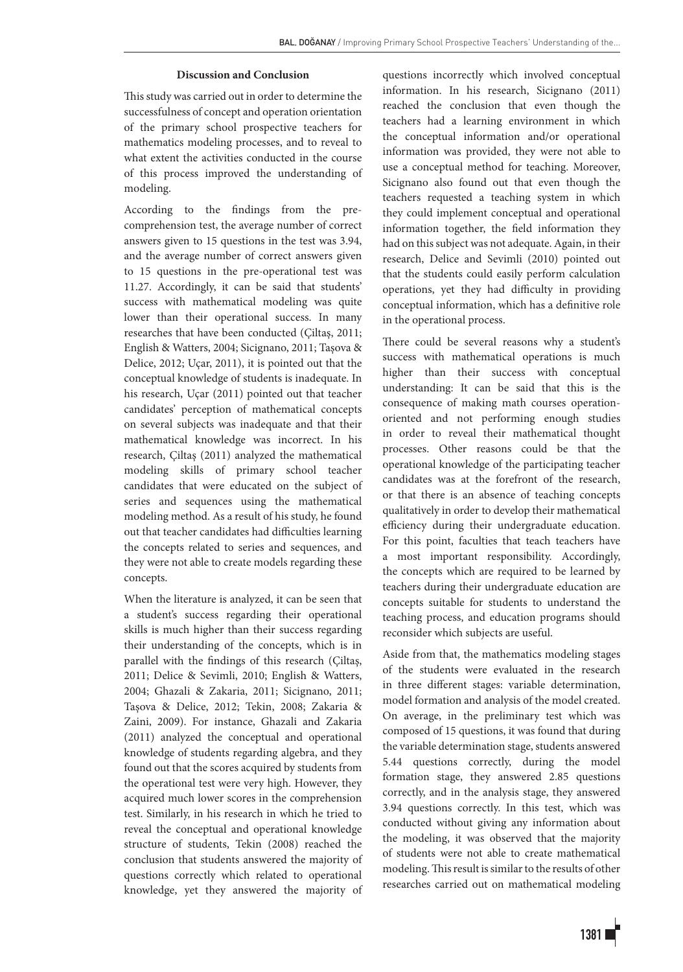#### **Discussion and Conclusion**

This study was carried out in order to determine the successfulness of concept and operation orientation of the primary school prospective teachers for mathematics modeling processes, and to reveal to what extent the activities conducted in the course of this process improved the understanding of modeling.

According to the findings from the precomprehension test, the average number of correct answers given to 15 questions in the test was 3.94, and the average number of correct answers given to 15 questions in the pre-operational test was 11.27. Accordingly, it can be said that students' success with mathematical modeling was quite lower than their operational success. In many researches that have been conducted (Çiltaş, 2011; English & Watters, 2004; Sicignano, 2011; Taşova & Delice, 2012; Uçar, 2011), it is pointed out that the conceptual knowledge of students is inadequate. In his research, Uçar (2011) pointed out that teacher candidates' perception of mathematical concepts on several subjects was inadequate and that their mathematical knowledge was incorrect. In his research, Çiltaş (2011) analyzed the mathematical modeling skills of primary school teacher candidates that were educated on the subject of series and sequences using the mathematical modeling method. As a result of his study, he found out that teacher candidates had difficulties learning the concepts related to series and sequences, and they were not able to create models regarding these concepts.

When the literature is analyzed, it can be seen that a student's success regarding their operational skills is much higher than their success regarding their understanding of the concepts, which is in parallel with the findings of this research (Çiltaş, 2011; Delice & Sevimli, 2010; English & Watters, 2004; Ghazali & Zakaria, 2011; Sicignano, 2011; Taşova & Delice, 2012; Tekin, 2008; Zakaria & Zaini, 2009). For instance, Ghazali and Zakaria (2011) analyzed the conceptual and operational knowledge of students regarding algebra, and they found out that the scores acquired by students from the operational test were very high. However, they acquired much lower scores in the comprehension test. Similarly, in his research in which he tried to reveal the conceptual and operational knowledge structure of students, Tekin (2008) reached the conclusion that students answered the majority of questions correctly which related to operational knowledge, yet they answered the majority of questions incorrectly which involved conceptual information. In his research, Sicignano (2011) reached the conclusion that even though the teachers had a learning environment in which the conceptual information and/or operational information was provided, they were not able to use a conceptual method for teaching. Moreover, Sicignano also found out that even though the teachers requested a teaching system in which they could implement conceptual and operational information together, the field information they had on this subject was not adequate. Again, in their research, Delice and Sevimli (2010) pointed out that the students could easily perform calculation operations, yet they had difficulty in providing conceptual information, which has a definitive role in the operational process.

There could be several reasons why a student's success with mathematical operations is much higher than their success with conceptual understanding: It can be said that this is the consequence of making math courses operationoriented and not performing enough studies in order to reveal their mathematical thought processes. Other reasons could be that the operational knowledge of the participating teacher candidates was at the forefront of the research, or that there is an absence of teaching concepts qualitatively in order to develop their mathematical efficiency during their undergraduate education. For this point, faculties that teach teachers have a most important responsibility. Accordingly, the concepts which are required to be learned by teachers during their undergraduate education are concepts suitable for students to understand the teaching process, and education programs should reconsider which subjects are useful.

Aside from that, the mathematics modeling stages of the students were evaluated in the research in three different stages: variable determination, model formation and analysis of the model created. On average, in the preliminary test which was composed of 15 questions, it was found that during the variable determination stage, students answered 5.44 questions correctly, during the model formation stage, they answered 2.85 questions correctly, and in the analysis stage, they answered 3.94 questions correctly. In this test, which was conducted without giving any information about the modeling, it was observed that the majority of students were not able to create mathematical modeling. This result is similar to the results of other researches carried out on mathematical modeling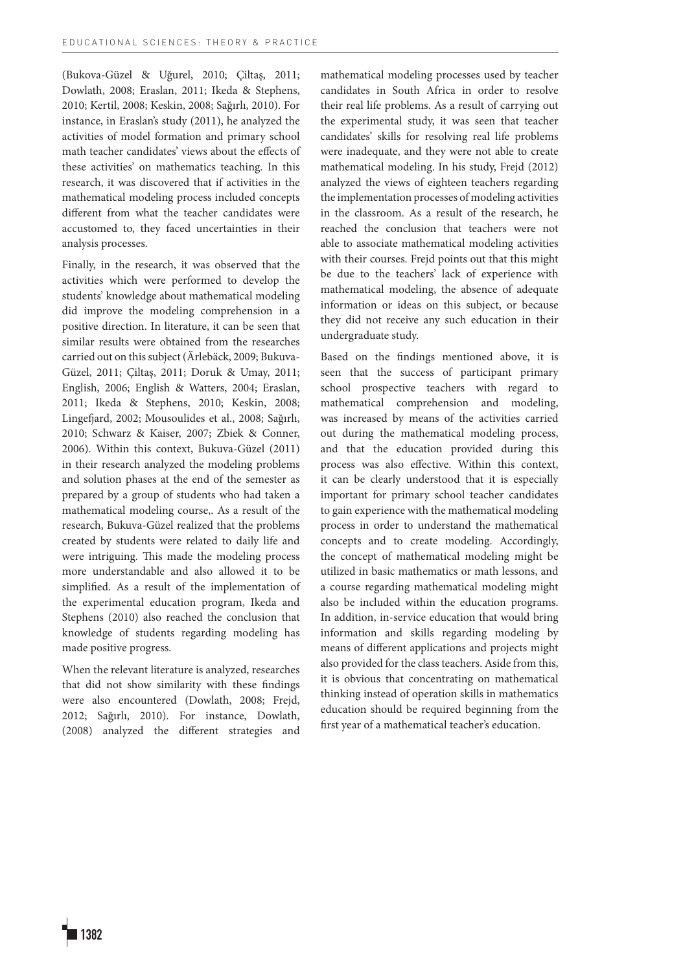(Bukova-Güzel & Uğurel, 2010; Çiltaş, 2011; Dowlath, 2008; Eraslan, 2011; Ikeda & Stephens, 2010; Kertil, 2008; Keskin, 2008; Sağırlı, 2010). For instance, in Eraslan's study (2011), he analyzed the activities of model formation and primary school math teacher candidates' views about the effects of these activities' on mathematics teaching. In this research, it was discovered that if activities in the mathematical modeling process included concepts different from what the teacher candidates were accustomed to, they faced uncertainties in their analysis processes.

Finally, in the research, it was observed that the activities which were performed to develop the students' knowledge about mathematical modeling did improve the modeling comprehension in a positive direction. In literature, it can be seen that similar results were obtained from the researches carried out on this subject (Ärlebäck, 2009; Bukuva-Güzel, 2011; Çiltaş, 2011; Doruk & Umay, 2011; English, 2006; English & Watters, 2004; Eraslan, 2011; Ikeda & Stephens, 2010; Keskin, 2008; Lingefjard, 2002; Mousoulides et al., 2008; Sağırlı, 2010; Schwarz & Kaiser, 2007; Zbiek & Conner, 2006). Within this context, Bukuva-Güzel (2011) in their research analyzed the modeling problems and solution phases at the end of the semester as prepared by a group of students who had taken a mathematical modeling course,. As a result of the research, Bukuva-Güzel realized that the problems created by students were related to daily life and were intriguing. This made the modeling process more understandable and also allowed it to be simplified. As a result of the implementation of the experimental education program, Ikeda and Stephens (2010) also reached the conclusion that knowledge of students regarding modeling has made positive progress.

When the relevant literature is analyzed, researches that did not show similarity with these findings were also encountered (Dowlath, 2008; Frejd, 2012; Sağırlı, 2010). For instance, Dowlath, (2008) analyzed the different strategies and mathematical modeling processes used by teacher candidates in South Africa in order to resolve their real life problems. As a result of carrying out the experimental study, it was seen that teacher candidates' skills for resolving real life problems were inadequate, and they were not able to create mathematical modeling. In his study, Frejd (2012) analyzed the views of eighteen teachers regarding the implementation processes of modeling activities in the classroom. As a result of the research, he reached the conclusion that teachers were not able to associate mathematical modeling activities with their courses. Frejd points out that this might be due to the teachers' lack of experience with mathematical modeling, the absence of adequate information or ideas on this subject, or because they did not receive any such education in their undergraduate study.

Based on the findings mentioned above, it is seen that the success of participant primary school prospective teachers with regard to mathematical comprehension and modeling, was increased by means of the activities carried out during the mathematical modeling process, and that the education provided during this process was also effective. Within this context, it can be clearly understood that it is especially important for primary school teacher candidates to gain experience with the mathematical modeling process in order to understand the mathematical concepts and to create modeling. Accordingly, the concept of mathematical modeling might be utilized in basic mathematics or math lessons, and a course regarding mathematical modeling might also be included within the education programs. In addition, in-service education that would bring information and skills regarding modeling by means of different applications and projects might also provided for the class teachers. Aside from this, it is obvious that concentrating on mathematical thinking instead of operation skills in mathematics education should be required beginning from the first year of a mathematical teacher's education.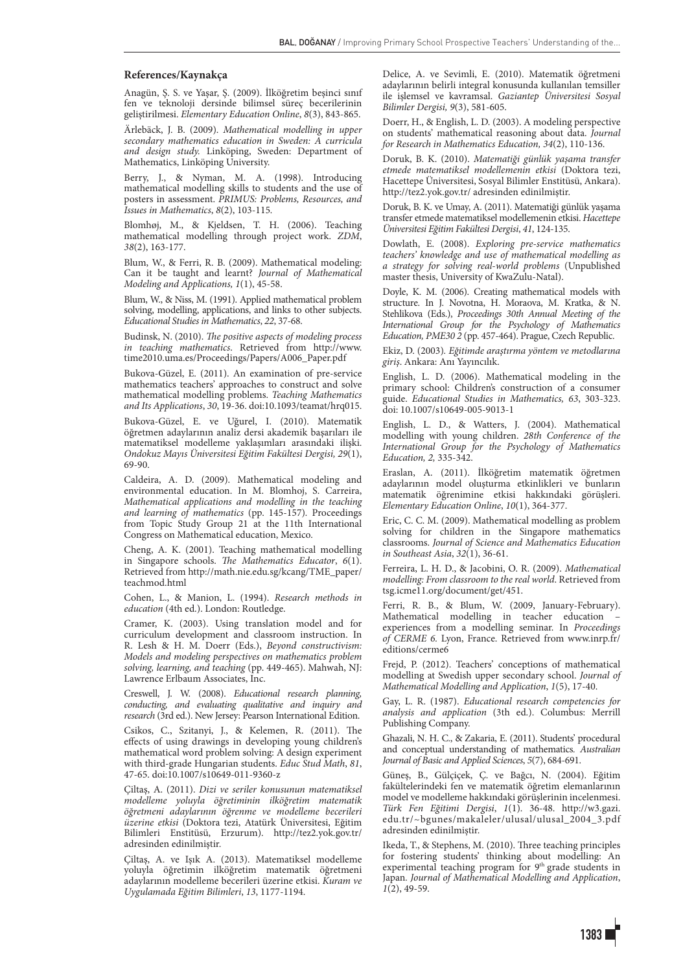#### **References/Kaynakça**

Anagün, Ş. S. ve Yaşar, Ş. (2009). İlköğretim beşinci sınıf fen ve teknoloji dersinde bilimsel süreç becerilerinin geliştirilmesi. *Elementary Education Online*, *8*(3), 843-865.

Ärlebäck, J. B. (2009). *Mathematical modelling in upper secondary mathematics education in Sweden: A curricula and design study.* Linköping, Sweden: Department of Mathematics, Linköping University.

Berry, J., & Nyman, M. A. (1998). Introducing mathematical modelling skills to students and the use of posters in assessment. *PRIMUS: Problems, Resources, and Issues in Mathematics*, *8*(2), 103-115*.*

Blomhøj, M., & Kjeldsen, T. H. (2006). Teaching mathematical modelling through project work. *ZDM*, *38*(2), 163-177.

Blum, W., & Ferri, R. B. (2009). Mathematical modeling: Can it be taught and learnt? *Journal of Mathematical Modeling and Applications, 1*(1), 45-58.

Blum, W., & Niss, M. (1991). Applied mathematical problem solving, modelling, applications, and links to other subjects. *Educational Studies in Mathematics*, *22*, 37-68.

Budinsk, N. (2010). *The positive aspects of modeling process in teaching mathematics*. Retrieved from http://www. time2010.uma.es/Proceedings/Papers/A006\_Paper.pdf

Bukova-Güzel, E. (2011). An examination of pre-service mathematics teachers' approaches to construct and solve mathematical modelling problems. *Teaching Mathematics and Its Applications*, *30*, 19-36. doi:10.1093/teamat/hrq015.

Bukova-Güzel, E. ve Uğurel, I. (2010). Matematik öğretmen adaylarının analiz dersi akademik başarıları ile matematiksel modelleme yaklaşımları arasındaki ilişki. *Ondokuz Mayıs Üniversitesi Eğitim Fakültesi Dergisi, 29*(1), 69-90.

Caldeira, A. D. (2009). Mathematical modeling and environmental education. In M. Blomhoj, S. Carreira, *Mathematical applications and modelling in the teaching and learning of mathematics* (pp. 145-157)*.* Proceedings from Topic Study Group 21 at the 11th International Congress on Mathematical education, Mexico.

Cheng, A. K. (2001). Teaching mathematical modelling in Singapore schools. *The Mathematics Educator*, *6*(1). Retrieved from http://math.nie.edu.sg/kcang/TME\_paper/ teachmod.html

Cohen, L., & Manion, L. (1994). *Research methods in education* (4th ed.). London: Routledge.

Cramer, K. (2003). Using translation model and for curriculum development and classroom instruction. In R. Lesh & H. M. Doerr (Eds.), *Beyond constructivism: Models and modeling perspectives on mathematics problem solving, learning, and teaching* (pp. 449-465). Mahwah, NJ: Lawrence Erlbaum Associates, Inc.

Creswell, J. W. (2008). *Educational research planning, conducting, and evaluating qualitative and inquiry and research* (3rd ed.). New Jersey: Pearson International Edition.

Csikos, C., Szitanyi, J., & Kelemen, R. (2011). The effects of using drawings in developing young children's mathematical word problem solving: A design experiment with third-grade Hungarian students. *Educ Stud Math*, *81*, 47-65. doi:10.1007/s10649-011-9360-z

Çiltaş, A. (2011). *Dizi ve seriler konusunun matematiksel modelleme yoluyla öğretiminin ilköğretim matematik öğretmeni adaylarının öğrenme ve modelleme becerileri üzerine etkisi* (Doktora tezi, Atatürk Üniversitesi, Eğitim Bilimleri Enstitüsü, Erzurum). http://tez2.yok.gov.tr/ adresinden edinilmiştir.

Çiltaş, A. ve Işık A. (2013). Matematiksel modelleme yoluyla öğretimin ilköğretim matematik öğretmeni adaylarının modelleme becerileri üzerine etkisi. *Kuram ve Uygulamada Eğitim Bilimleri*, *13*, 1177-1194.

Delice, A. ve Sevimli, E. (2010). Matematik öğretmeni adaylarının belirli integral konusunda kullanılan temsiller ile işlemsel ve kavramsal. *Gaziantep Üniversitesi Sosyal Bilimler Dergisi, 9*(3), 581-605.

Doerr, H., & English, L. D. (2003). A modeling perspective on students' mathematical reasoning about data. *Journal for Research in Mathematics Education, 34*(2), 110-136.

Doruk, B. K. (2010). *Matematiği günlük yaşama transfer etmede matematiksel modellemenin etkisi* (Doktora tezi, Hacettepe Üniversitesi, Sosyal Bilimler Enstitüsü, Ankara). http://tez2.yok.gov.tr/ adresinden edinilmiştir.

Doruk, B. K. ve Umay, A. (2011). Matematiği günlük yaşama transfer etmede matematiksel modellemenin etkisi. *Hacettepe Üniversitesi Eğitim Fakültesi Dergisi*, *41*, 124-135.

Dowlath, E. (2008). *Exploring pre-service mathematics teachers' knowledge and use of mathematical modelling as a strategy for solving real-world problems* (Unpublished master thesis, University of KwaZulu-Natal).

Doyle, K. M. (2006). Creating mathematical models with structure. In J. Novotna, H. Moraova, M. Kratka, & N. Stehlikova (Eds.), *Proceedings 30th Annual Meeting of the International Group for the Psychology of Mathematics Education, PME30 2* (pp. 457-464). Prague, Czech Republic.

Ekiz, D. (2003)*. Eğitimde araştırma yöntem ve metodlarına giriş*. Ankara: Anı Yayıncılık.

English, L. D. (2006). Mathematical modeling in the primary school: Children's construction of a consumer guide. *Educational Studies in Mathematics, 63*, 303-323. doi: 10.1007/s10649-005-9013-1

English, L. D., & Watters, J. (2004). Mathematical modelling with young children. *28th Conference of the International Group for the Psychology of Mathematics Education, 2,* 335-342.

Eraslan, A. (2011). İlköğretim matematik öğretmen adaylarının model oluşturma etkinlikleri ve bunların matematik öğrenimine etkisi hakkındaki görüşleri. *Elementary Education Online*, *10*(1), 364-377.

Eric, C. C. M. (2009). Mathematical modelling as problem solving for children in the Singapore mathematics classrooms. *Journal of Science and Mathematics Education in Southeast Asia*, *32*(1), 36-61.

Ferreira, L. H. D., & Jacobini, O. R. (2009). *Mathematical modelling: From classroom to the real world*. Retrieved from tsg.icme11.org/document/get/451.

Ferri, R. B., & Blum, W. (2009, January-February). Mathematical modelling in teacher education – experiences from a modelling seminar. In *Proceedings of CERME 6.* Lyon, France. Retrieved from www.inrp.fr/ editions/cerme6

Frejd, P. (2012). Teachers' conceptions of mathematical modelling at Swedish upper secondary school. *Journal of Mathematical Modelling and Application*, *1*(5), 17-40.

Gay, L. R. (1987). *Educational research competencies for analysis and application* (3th ed.). Columbus: Merrill Publishing Company.

Ghazali, N. H. C., & Zakaria, E. (2011). Students' procedural and conceptual understanding of mathematics*. Australian Journal of Basic and Applied Sciences*, *5*(7), 684-691.

Güneş, B., Gülçiçek, Ç. ve Bağcı, N. (2004). Eğitim fakültelerindeki fen ve matematik öğretim elemanlarının model ve modelleme hakkındaki görüşlerinin incelenmesi. *Türk Fen Eğitimi Dergisi*, *1*(1). 36-48. http://w3.gazi. edu.tr/~bgunes/makaleler/ulusal/ulusal\_2004\_3.pdf adresinden edinilmiştir.

Ikeda, T., & Stephens, M. (2010). Three teaching principles for fostering students' thinking about modelling: An experimental teaching program for 9<sup>th</sup> grade students in<br>Japan*. Journal of Mathematical Modelling and Application*, *1*(2), 49-59.